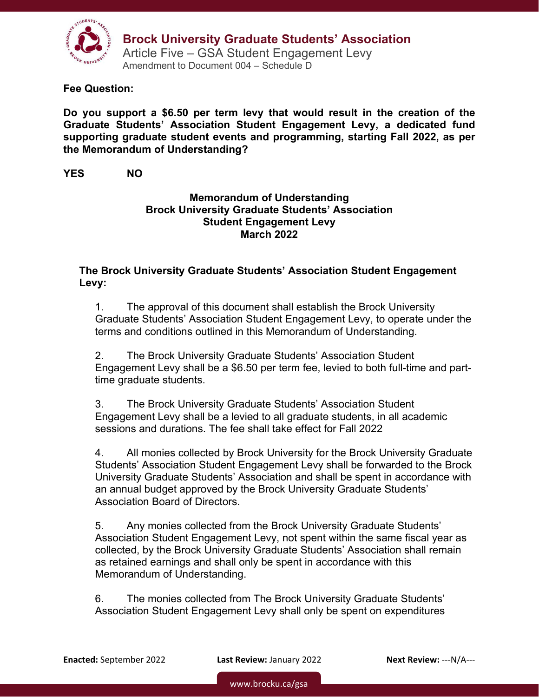

**Fee Question:** 

**Do you support a \$6.50 per term levy that would result in the creation of the Graduate Students' Association Student Engagement Levy, a dedicated fund supporting graduate student events and programming, starting Fall 2022, as per the Memorandum of Understanding?** 

#### **YES NO**

### **Memorandum of Understanding Brock University Graduate Students' Association Student Engagement Levy March 2022**

### **The Brock University Graduate Students' Association Student Engagement Levy:**

1. The approval of this document shall establish the Brock University Graduate Students' Association Student Engagement Levy, to operate under the terms and conditions outlined in this Memorandum of Understanding.

2. The Brock University Graduate Students' Association Student Engagement Levy shall be a \$6.50 per term fee, levied to both full-time and parttime graduate students.

3. The Brock University Graduate Students' Association Student Engagement Levy shall be a levied to all graduate students, in all academic sessions and durations. The fee shall take effect for Fall 2022

4. All monies collected by Brock University for the Brock University Graduate Students' Association Student Engagement Levy shall be forwarded to the Brock University Graduate Students' Association and shall be spent in accordance with an annual budget approved by the Brock University Graduate Students' Association Board of Directors.

5. Any monies collected from the Brock University Graduate Students' Association Student Engagement Levy, not spent within the same fiscal year as collected, by the Brock University Graduate Students' Association shall remain as retained earnings and shall only be spent in accordance with this Memorandum of Understanding.

6. The monies collected from The Brock University Graduate Students' Association Student Engagement Levy shall only be spent on expenditures

**Enacted:** September 2022 **Last Review:** January 2022 **Next Review:** ‐‐‐N/A‐‐‐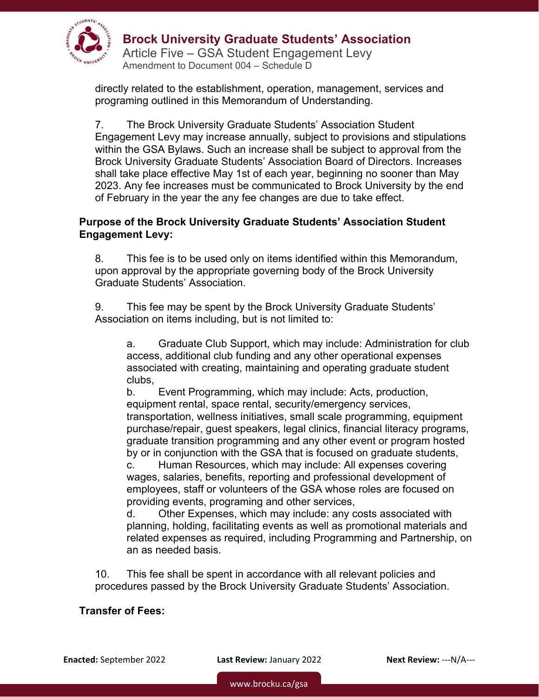

# **Brock University Graduate Students' Association**

Article Five – GSA Student Engagement Levy Amendment to Document 004 – Schedule D

directly related to the establishment, operation, management, services and programing outlined in this Memorandum of Understanding.

7. The Brock University Graduate Students' Association Student Engagement Levy may increase annually, subject to provisions and stipulations within the GSA Bylaws. Such an increase shall be subject to approval from the Brock University Graduate Students' Association Board of Directors. Increases shall take place effective May 1st of each year, beginning no sooner than May 2023. Any fee increases must be communicated to Brock University by the end of February in the year the any fee changes are due to take effect.

### **Purpose of the Brock University Graduate Students' Association Student Engagement Levy:**

8. This fee is to be used only on items identified within this Memorandum, upon approval by the appropriate governing body of the Brock University Graduate Students' Association.

9. This fee may be spent by the Brock University Graduate Students' Association on items including, but is not limited to:

a. Graduate Club Support, which may include: Administration for club access, additional club funding and any other operational expenses associated with creating, maintaining and operating graduate student clubs,

b. Event Programming, which may include: Acts, production, equipment rental, space rental, security/emergency services, transportation, wellness initiatives, small scale programming, equipment purchase/repair, guest speakers, legal clinics, financial literacy programs, graduate transition programming and any other event or program hosted by or in conjunction with the GSA that is focused on graduate students, c. Human Resources, which may include: All expenses covering wages, salaries, benefits, reporting and professional development of employees, staff or volunteers of the GSA whose roles are focused on

providing events, programing and other services, d. Other Expenses, which may include: any costs associated with

planning, holding, facilitating events as well as promotional materials and related expenses as required, including Programming and Partnership, on an as needed basis.

10. This fee shall be spent in accordance with all relevant policies and procedures passed by the Brock University Graduate Students' Association.

## **Transfer of Fees:**

**Enacted:** September 2022 **Last Review:** January 2022 **Next Review:** ‐‐‐N/A‐‐‐